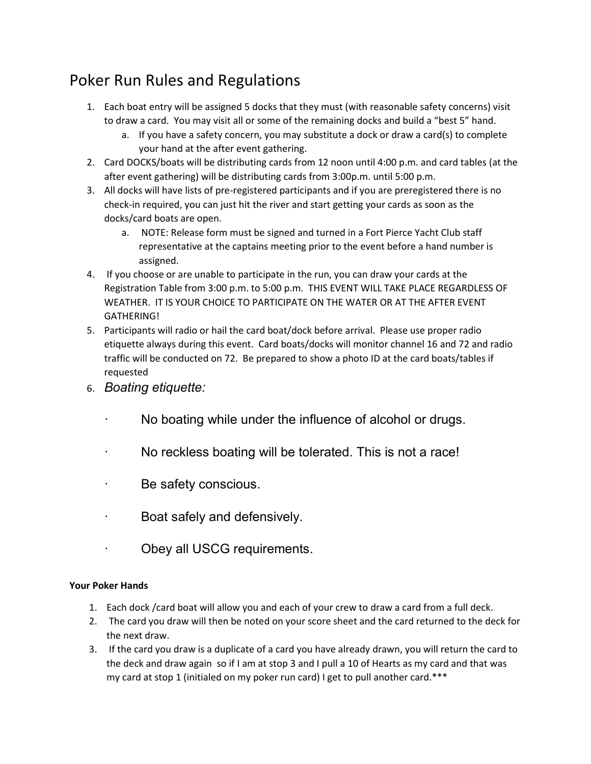## Poker Run Rules and Regulations

- 1. Each boat entry will be assigned 5 docks that they must (with reasonable safety concerns) visit to draw a card. You may visit all or some of the remaining docks and build a "best 5" hand.
	- a. If you have a safety concern, you may substitute a dock or draw a card(s) to complete your hand at the after event gathering.
- 2. Card DOCKS/boats will be distributing cards from 12 noon until 4:00 p.m. and card tables (at the after event gathering) will be distributing cards from 3:00p.m. until 5:00 p.m.
- 3. All docks will have lists of pre-registered participants and if you are preregistered there is no check-in required, you can just hit the river and start getting your cards as soon as the docks/card boats are open.
	- a. NOTE: Release form must be signed and turned in a Fort Pierce Yacht Club staff representative at the captains meeting prior to the event before a hand number is assigned.
- 4. If you choose or are unable to participate in the run, you can draw your cards at the Registration Table from 3:00 p.m. to 5:00 p.m. THIS EVENT WILL TAKE PLACE REGARDLESS OF WEATHER. IT IS YOUR CHOICE TO PARTICIPATE ON THE WATER OR AT THE AFTER EVENT GATHERING!
- 5. Participants will radio or hail the card boat/dock before arrival. Please use proper radio etiquette always during this event. Card boats/docks will monitor channel 16 and 72 and radio traffic will be conducted on 72. Be prepared to show a photo ID at the card boats/tables if requested
- 6. Boating etiquette:
	- No boating while under the influence of alcohol or drugs.
	- No reckless boating will be tolerated. This is not a race!
	- Be safety conscious.
	- Boat safely and defensively.
	- Obey all USCG requirements.

## Your Poker Hands

- 1. Each dock /card boat will allow you and each of your crew to draw a card from a full deck.
- 2. The card you draw will then be noted on your score sheet and the card returned to the deck for the next draw.
- 3. If the card you draw is a duplicate of a card you have already drawn, you will return the card to the deck and draw again so if I am at stop 3 and I pull a 10 of Hearts as my card and that was my card at stop 1 (initialed on my poker run card) I get to pull another card.\*\*\*